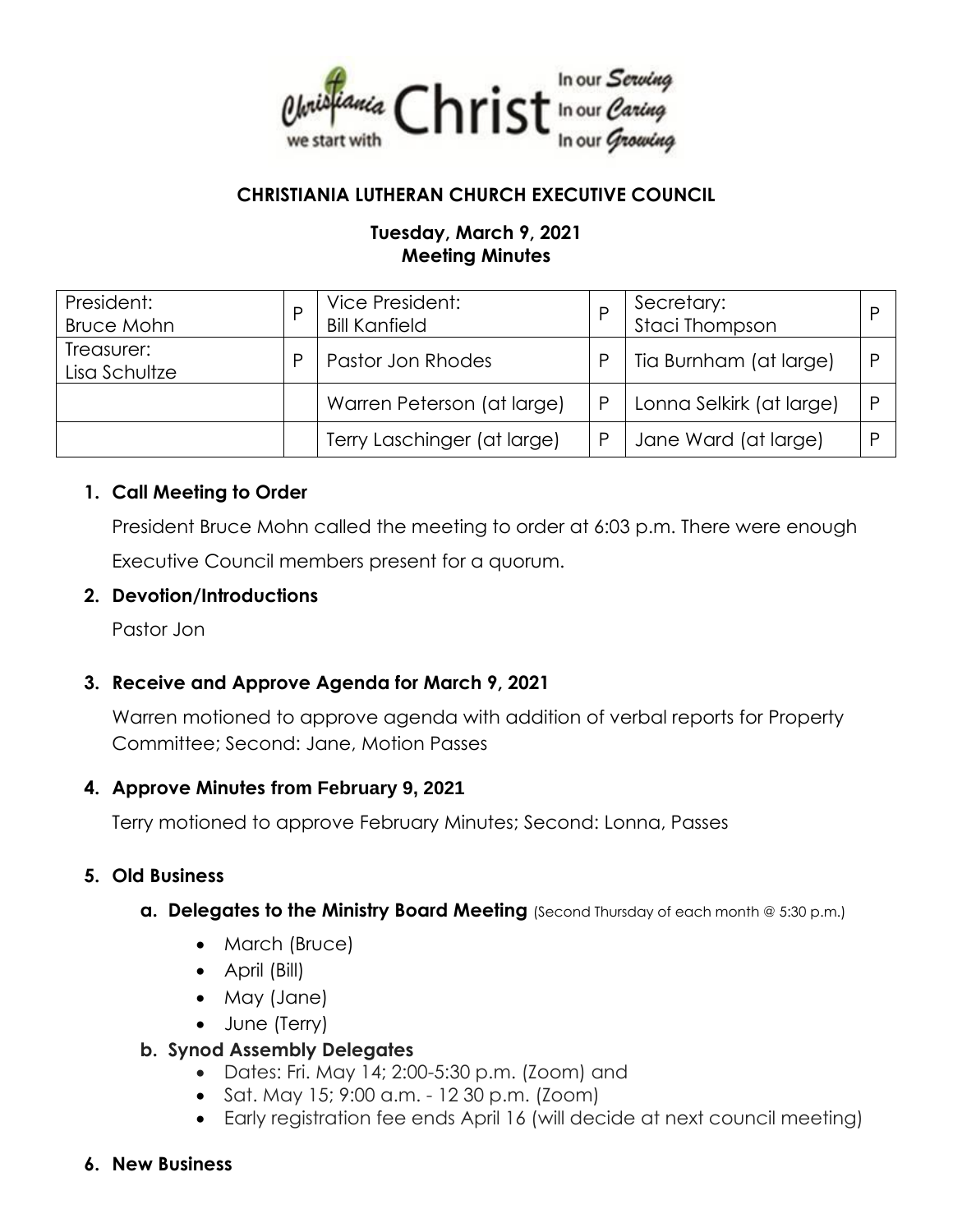

# **CHRISTIANIA LUTHERAN CHURCH EXECUTIVE COUNCIL**

# **Tuesday, March 9, 2021 Meeting Minutes**

| President:<br><b>Bruce Mohn</b> | Vice President:<br><b>Bill Kanfield</b> |   | Secretary:<br>Staci Thompson |  |
|---------------------------------|-----------------------------------------|---|------------------------------|--|
| Treasurer:<br>Lisa Schultze     | Pastor Jon Rhodes                       | P | Tia Burnham (at large)       |  |
|                                 | Warren Peterson (at large)              | P | Lonna Selkirk (at large)     |  |
|                                 | Terry Laschinger (at large)             | P | Jane Ward (at large)         |  |

#### **1. Call Meeting to Order**

President Bruce Mohn called the meeting to order at 6:03 p.m. There were enough Executive Council members present for a quorum.

#### **2. Devotion/Introductions**

Pastor Jon

#### **3. Receive and Approve Agenda for March 9, 2021**

Warren motioned to approve agenda with addition of verbal reports for Property Committee; Second: Jane, Motion Passes

#### **4. Approve Minutes from February 9, 2021**

Terry motioned to approve February Minutes; Second: Lonna, Passes

#### **5. Old Business**

- **a. Delegates to the Ministry Board Meeting** (Second Thursday of each month @ 5:30 p.m.)
	- March (Bruce)
	- April (Bill)
	- May (Jane)
	- June (Terry)

#### **b. Synod Assembly Delegates**

- Dates: Fri. May 14; 2:00-5:30 p.m. (Zoom) and
- Sat. May 15; 9:00 a.m. 12 30 p.m. (Zoom)
- Early registration fee ends April 16 (will decide at next council meeting)
- **6. New Business**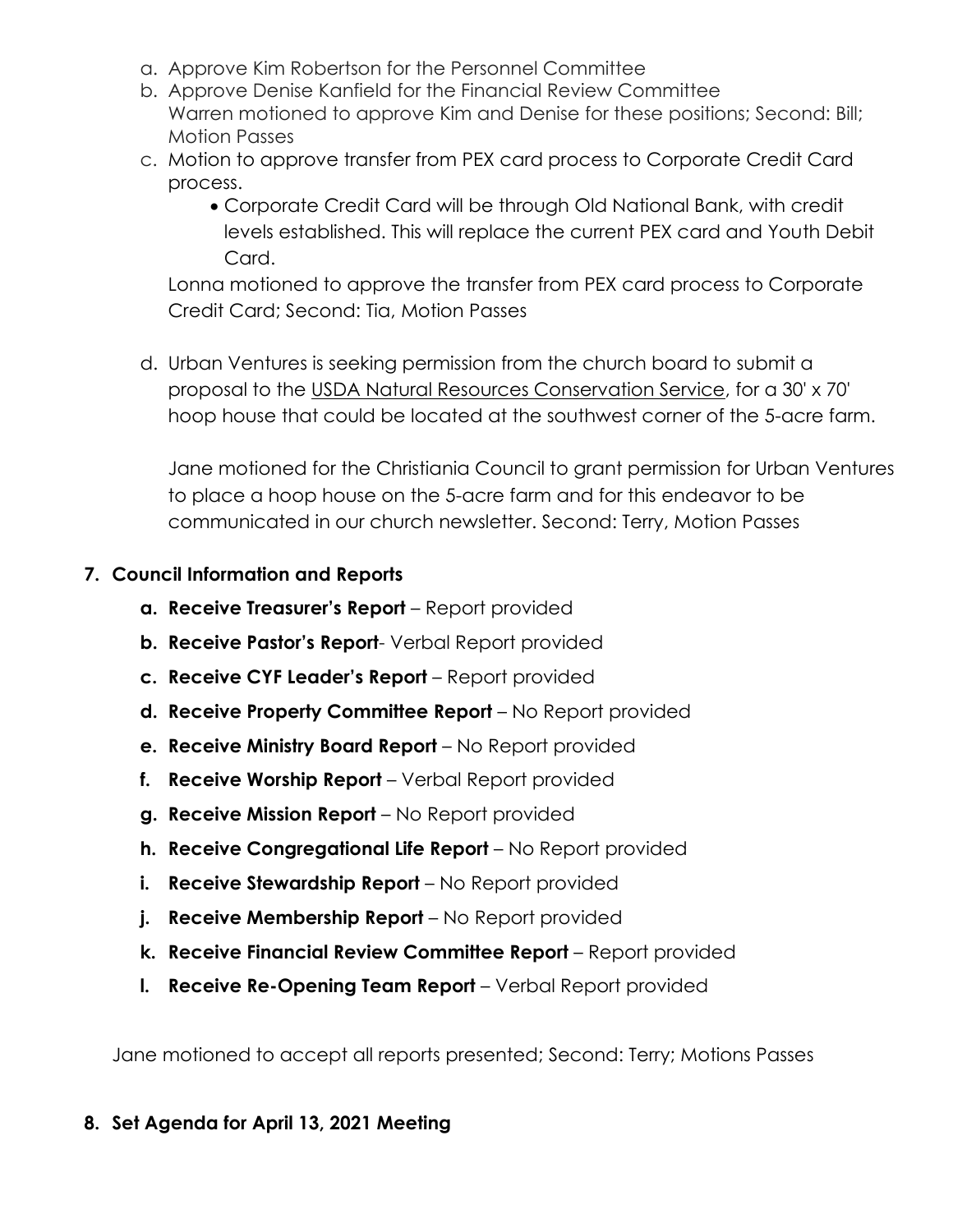- a. Approve Kim Robertson for the Personnel Committee
- b. Approve Denise Kanfield for the Financial Review Committee Warren motioned to approve Kim and Denise for these positions; Second: Bill; Motion Passes
- c. Motion to approve transfer from PEX card process to Corporate Credit Card process.
	- Corporate Credit Card will be through Old National Bank, with credit levels established. This will replace the current PEX card and Youth Debit Card.

Lonna motioned to approve the transfer from PEX card process to Corporate Credit Card; Second: Tia, Motion Passes

d. Urban Ventures is seeking permission from the church board to submit a proposal to the USDA Natural Resources Conservation Service, for a 30' x 70' hoop house that could be located at the southwest corner of the 5-acre farm.

Jane motioned for the Christiania Council to grant permission for Urban Ventures to place a hoop house on the 5-acre farm and for this endeavor to be communicated in our church newsletter. Second: Terry, Motion Passes

# **7. Council Information and Reports**

- **a. Receive Treasurer's Report**  Report provided
- **b. Receive Pastor's Report** Verbal Report provided
- **c. Receive CYF Leader's Report**  Report provided
- **d. Receive Property Committee Report**  No Report provided
- **e. Receive Ministry Board Report**  No Report provided
- **f. Receive Worship Report**  Verbal Report provided
- **g. Receive Mission Report**  No Report provided
- **h. Receive Congregational Life Report**  No Report provided
- **i.** Receive Stewardship Report No Report provided
- **j.** Receive Membership Report No Report provided
- **k. Receive Financial Review Committee Report** Report provided
- **l. Receive Re-Opening Team Report** Verbal Report provided

Jane motioned to accept all reports presented; Second: Terry; Motions Passes

# **8. Set Agenda for April 13, 2021 Meeting**